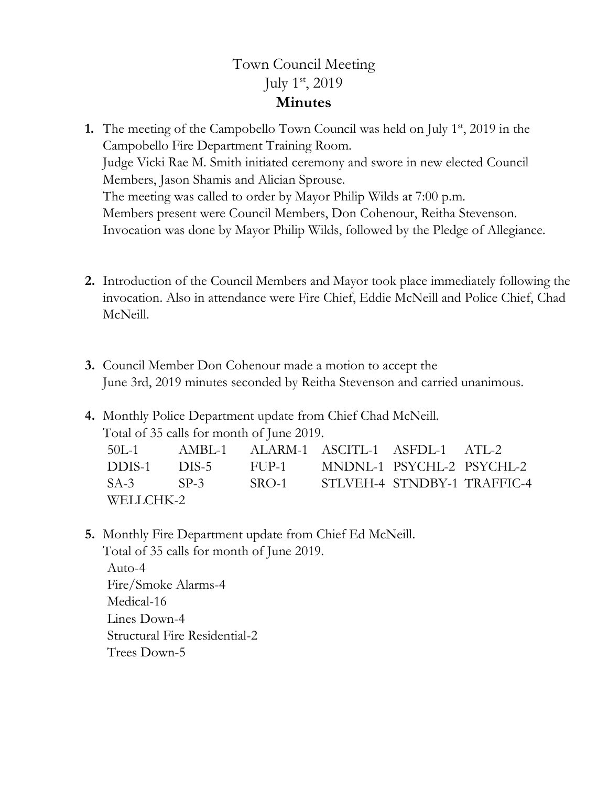## Town Council Meeting July 1st, 2019 **Minutes**

- **1.** The meeting of the Campobello Town Council was held on July 1<sup>st</sup>, 2019 in the Campobello Fire Department Training Room. Judge Vicki Rae M. Smith initiated ceremony and swore in new elected Council Members, Jason Shamis and Alician Sprouse. The meeting was called to order by Mayor Philip Wilds at 7:00 p.m. Members present were Council Members, Don Cohenour, Reitha Stevenson. Invocation was done by Mayor Philip Wilds, followed by the Pledge of Allegiance.
- **2.** Introduction of the Council Members and Mayor took place immediately following the invocation. Also in attendance were Fire Chief, Eddie McNeill and Police Chief, Chad McNeill.
- **3.** Council Member Don Cohenour made a motion to accept the June 3rd, 2019 minutes seconded by Reitha Stevenson and carried unanimous.
- **4.** Monthly Police Department update from Chief Chad McNeill. Total of 35 calls for month of June 2019.

|           |  |  | 50L-1 AMBL-1 ALARM-1 ASCITL-1 ASFDL-1 ATL-2  |  |                                             |
|-----------|--|--|----------------------------------------------|--|---------------------------------------------|
|           |  |  | DDIS-1 DIS-5 FUP-1 MNDNL-1 PSYCHL-2 PSYCHL-2 |  |                                             |
|           |  |  |                                              |  | SA-3 SP-3 SRO-1 STLVEH-4 STNDBY-1 TRAFFIC-4 |
| WELLCHK-2 |  |  |                                              |  |                                             |

**5.** Monthly Fire Department update from Chief Ed McNeill. Total of 35 calls for month of June 2019. Auto-4 Fire/Smoke Alarms-4 Medical-16 Lines Down-4 Structural Fire Residential-2

Trees Down-5